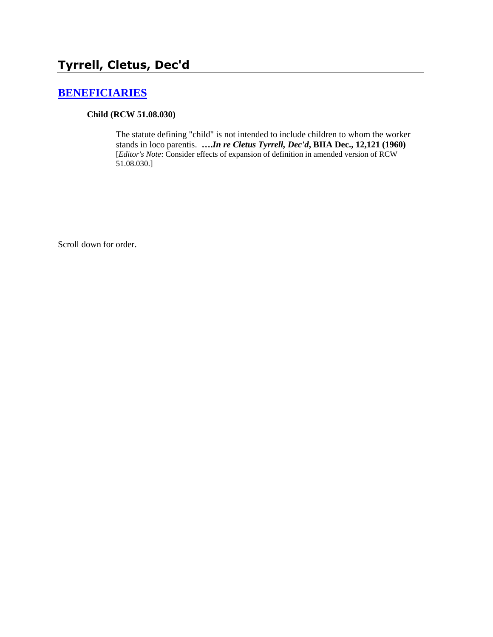# **[BENEFICIARIES](http://www.biia.wa.gov/SDSubjectIndex.html#BENEFICIARIES)**

#### **Child (RCW 51.08.030)**

The statute defining "child" is not intended to include children to whom the worker stands in loco parentis. **….***In re Cletus Tyrrell, Dec'd***, BIIA Dec., 12,121 (1960)**  [*Editor's Note*: Consider effects of expansion of definition in amended version of RCW 51.08.030.]

Scroll down for order.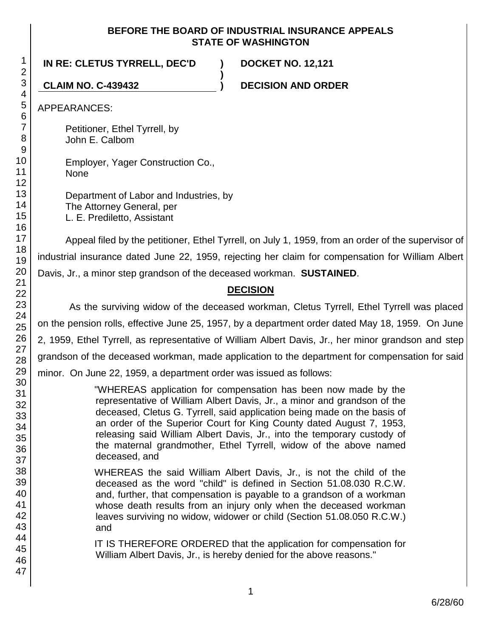### **BEFORE THE BOARD OF INDUSTRIAL INSURANCE APPEALS STATE OF WASHINGTON**

**)**

**IN RE: CLETUS TYRRELL, DEC'D ) DOCKET NO. 12,121**

**CLAIM NO. C-439432 ) DECISION AND ORDER**

APPEARANCES:

Petitioner, Ethel Tyrrell, by John E. Calbom

Employer, Yager Construction Co., None

Department of Labor and Industries, by The Attorney General, per L. E. Prediletto, Assistant

Appeal filed by the petitioner, Ethel Tyrrell, on July 1, 1959, from an order of the supervisor of industrial insurance dated June 22, 1959, rejecting her claim for compensation for William Albert Davis, Jr., a minor step grandson of the deceased workman. **SUSTAINED**.

# **DECISION**

As the surviving widow of the deceased workman, Cletus Tyrrell, Ethel Tyrrell was placed on the pension rolls, effective June 25, 1957, by a department order dated May 18, 1959. On June 2, 1959, Ethel Tyrrell, as representative of William Albert Davis, Jr., her minor grandson and step grandson of the deceased workman, made application to the department for compensation for said minor. On June 22, 1959, a department order was issued as follows:

> "WHEREAS application for compensation has been now made by the representative of William Albert Davis, Jr., a minor and grandson of the deceased, Cletus G. Tyrrell, said application being made on the basis of an order of the Superior Court for King County dated August 7, 1953, releasing said William Albert Davis, Jr., into the temporary custody of the maternal grandmother, Ethel Tyrrell, widow of the above named deceased, and

> WHEREAS the said William Albert Davis, Jr., is not the child of the deceased as the word "child" is defined in Section 51.08.030 R.C.W. and, further, that compensation is payable to a grandson of a workman whose death results from an injury only when the deceased workman leaves surviving no widow, widower or child (Section 51.08.050 R.C.W.) and

> IT IS THEREFORE ORDERED that the application for compensation for William Albert Davis, Jr., is hereby denied for the above reasons."

> > 1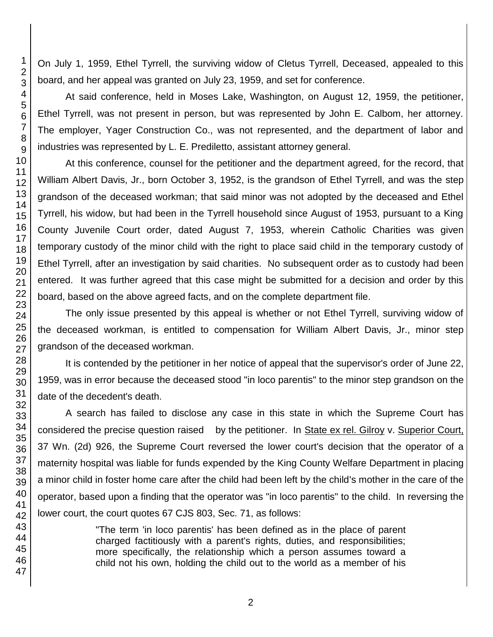On July 1, 1959, Ethel Tyrrell, the surviving widow of Cletus Tyrrell, Deceased, appealed to this board, and her appeal was granted on July 23, 1959, and set for conference.

At said conference, held in Moses Lake, Washington, on August 12, 1959, the petitioner, Ethel Tyrrell, was not present in person, but was represented by John E. Calbom, her attorney. The employer, Yager Construction Co., was not represented, and the department of labor and industries was represented by L. E. Prediletto, assistant attorney general.

At this conference, counsel for the petitioner and the department agreed, for the record, that William Albert Davis, Jr., born October 3, 1952, is the grandson of Ethel Tyrrell, and was the step grandson of the deceased workman; that said minor was not adopted by the deceased and Ethel Tyrrell, his widow, but had been in the Tyrrell household since August of 1953, pursuant to a King County Juvenile Court order, dated August 7, 1953, wherein Catholic Charities was given temporary custody of the minor child with the right to place said child in the temporary custody of Ethel Tyrrell, after an investigation by said charities. No subsequent order as to custody had been entered. It was further agreed that this case might be submitted for a decision and order by this board, based on the above agreed facts, and on the complete department file.

The only issue presented by this appeal is whether or not Ethel Tyrrell, surviving widow of the deceased workman, is entitled to compensation for William Albert Davis, Jr., minor step grandson of the deceased workman.

It is contended by the petitioner in her notice of appeal that the supervisor's order of June 22, 1959, was in error because the deceased stood "in loco parentis" to the minor step grandson on the date of the decedent's death.

A search has failed to disclose any case in this state in which the Supreme Court has considered the precise question raised by the petitioner. In State ex rel. Gilroy v. Superior Court, 37 Wn. (2d) 926, the Supreme Court reversed the lower court's decision that the operator of a maternity hospital was liable for funds expended by the King County Welfare Department in placing a minor child in foster home care after the child had been left by the child's mother in the care of the operator, based upon a finding that the operator was "in loco parentis" to the child. In reversing the lower court, the court quotes 67 CJS 803, Sec. 71, as follows:

> "The term 'in loco parentis' has been defined as in the place of parent charged factitiously with a parent's rights, duties, and responsibilities; more specifically, the relationship which a person assumes toward a child not his own, holding the child out to the world as a member of his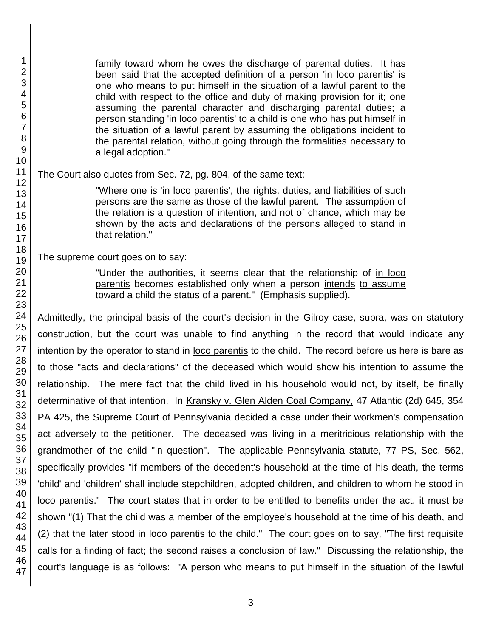47

family toward whom he owes the discharge of parental duties. It has been said that the accepted definition of a person 'in loco parentis' is one who means to put himself in the situation of a lawful parent to the child with respect to the office and duty of making provision for it; one assuming the parental character and discharging parental duties; a person standing 'in loco parentis' to a child is one who has put himself in the situation of a lawful parent by assuming the obligations incident to the parental relation, without going through the formalities necessary to a legal adoption."

The Court also quotes from Sec. 72, pg. 804, of the same text:

"Where one is 'in loco parentis', the rights, duties, and liabilities of such persons are the same as those of the lawful parent. The assumption of the relation is a question of intention, and not of chance, which may be shown by the acts and declarations of the persons alleged to stand in that relation."

The supreme court goes on to say:

"Under the authorities, it seems clear that the relationship of in loco parentis becomes established only when a person intends to assume toward a child the status of a parent." (Emphasis supplied).

Admittedly, the principal basis of the court's decision in the Gilroy case, supra, was on statutory construction, but the court was unable to find anything in the record that would indicate any intention by the operator to stand in loco parentis to the child. The record before us here is bare as to those "acts and declarations" of the deceased which would show his intention to assume the relationship. The mere fact that the child lived in his household would not, by itself, be finally determinative of that intention. In Kransky v. Glen Alden Coal Company, 47 Atlantic (2d) 645, 354 PA 425, the Supreme Court of Pennsylvania decided a case under their workmen's compensation act adversely to the petitioner. The deceased was living in a meritricious relationship with the grandmother of the child "in question". The applicable Pennsylvania statute, 77 PS, Sec. 562, specifically provides "if members of the decedent's household at the time of his death, the terms 'child' and 'children' shall include stepchildren, adopted children, and children to whom he stood in loco parentis." The court states that in order to be entitled to benefits under the act, it must be shown "(1) That the child was a member of the employee's household at the time of his death, and (2) that the later stood in loco parentis to the child." The court goes on to say, "The first requisite calls for a finding of fact; the second raises a conclusion of law." Discussing the relationship, the court's language is as follows: "A person who means to put himself in the situation of the lawful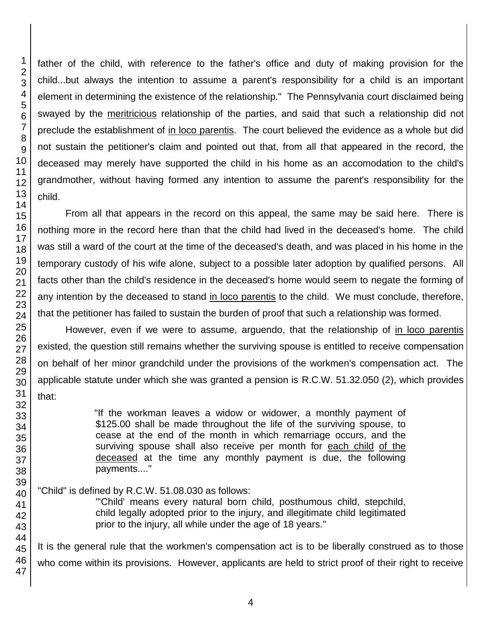father of the child, with reference to the father's office and duty of making provision for the child...but always the intention to assume a parent's responsibility for a child is an important element in determining the existence of the relationship." The Pennsylvania court disclaimed being swayed by the meritricious relationship of the parties, and said that such a relationship did not preclude the establishment of in loco parentis. The court believed the evidence as a whole but did not sustain the petitioner's claim and pointed out that, from all that appeared in the record, the deceased may merely have supported the child in his home as an accomodation to the child's grandmother, without having formed any intention to assume the parent's responsibility for the child.

From all that appears in the record on this appeal, the same may be said here. There is nothing more in the record here than that the child had lived in the deceased's home. The child was still a ward of the court at the time of the deceased's death, and was placed in his home in the temporary custody of his wife alone, subject to a possible later adoption by qualified persons. All facts other than the child's residence in the deceased's home would seem to negate the forming of any intention by the deceased to stand in loco parentis to the child. We must conclude, therefore, that the petitioner has failed to sustain the burden of proof that such a relationship was formed.

However, even if we were to assume, arguendo, that the relationship of in loco parentis existed, the question still remains whether the surviving spouse is entitled to receive compensation on behalf of her minor grandchild under the provisions of the workmen's compensation act. The applicable statute under which she was granted a pension is R.C.W. 51.32.050 (2), which provides that:

> "If the workman leaves a widow or widower, a monthly payment of \$125.00 shall be made throughout the life of the surviving spouse, to cease at the end of the month in which remarriage occurs, and the surviving spouse shall also receive per month for each child of the deceased at the time any monthly payment is due, the following payments...."

# "Child" is defined by R.C.W. 51.08.030 as follows:

"'Child' means every natural born child, posthumous child, stepchild, child legally adopted prior to the injury, and illegitimate child legitimated prior to the injury, all while under the age of 18 years."

It is the general rule that the workmen's compensation act is to be liberally construed as to those who come within its provisions. However, applicants are held to strict proof of their right to receive

1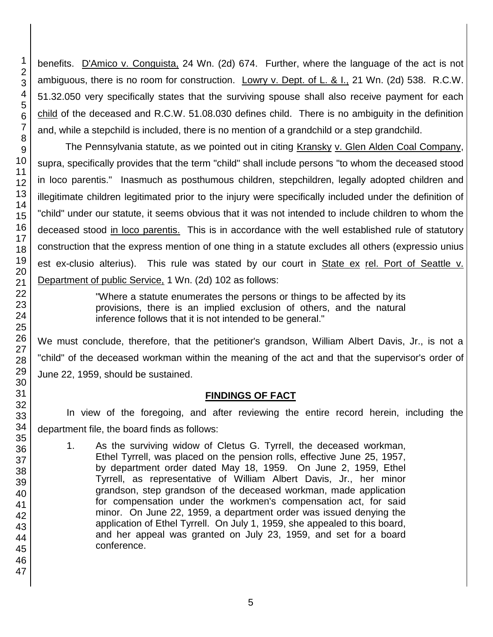benefits. D'Amico v. Conguista, 24 Wn. (2d) 674. Further, where the language of the act is not ambiguous, there is no room for construction. Lowry v. Dept. of L. & I., 21 Wn. (2d) 538. R.C.W. 51.32.050 very specifically states that the surviving spouse shall also receive payment for each child of the deceased and R.C.W. 51.08.030 defines child. There is no ambiguity in the definition and, while a stepchild is included, there is no mention of a grandchild or a step grandchild.

The Pennsylvania statute, as we pointed out in citing Kransky v. Glen Alden Coal Company, supra, specifically provides that the term "child" shall include persons "to whom the deceased stood in loco parentis." Inasmuch as posthumous children, stepchildren, legally adopted children and illegitimate children legitimated prior to the injury were specifically included under the definition of "child" under our statute, it seems obvious that it was not intended to include children to whom the deceased stood in loco parentis. This is in accordance with the well established rule of statutory construction that the express mention of one thing in a statute excludes all others (expressio unius est ex-clusio alterius). This rule was stated by our court in State ex rel. Port of Seattle v. Department of public Service, 1 Wn. (2d) 102 as follows:

> "Where a statute enumerates the persons or things to be affected by its provisions, there is an implied exclusion of others, and the natural inference follows that it is not intended to be general."

We must conclude, therefore, that the petitioner's grandson, William Albert Davis, Jr., is not a "child" of the deceased workman within the meaning of the act and that the supervisor's order of June 22, 1959, should be sustained.

# **FINDINGS OF FACT**

In view of the foregoing, and after reviewing the entire record herein, including the department file, the board finds as follows:

1. As the surviving widow of Cletus G. Tyrrell, the deceased workman, Ethel Tyrrell, was placed on the pension rolls, effective June 25, 1957, by department order dated May 18, 1959. On June 2, 1959, Ethel Tyrrell, as representative of William Albert Davis, Jr., her minor grandson, step grandson of the deceased workman, made application for compensation under the workmen's compensation act, for said minor. On June 22, 1959, a department order was issued denying the application of Ethel Tyrrell. On July 1, 1959, she appealed to this board, and her appeal was granted on July 23, 1959, and set for a board conference.